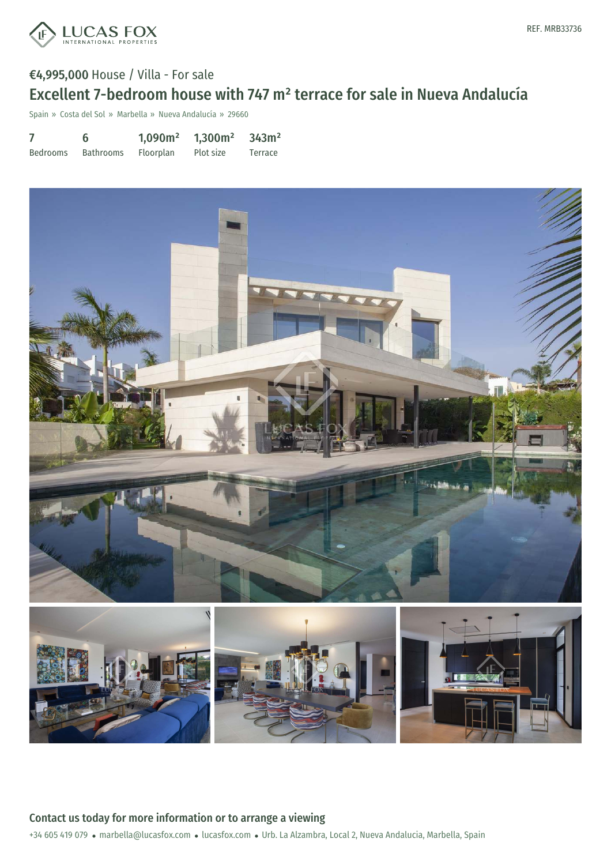

# €4,995,000 House / Villa - For sale Excellent 7-bedroom house with 747 m² terrace for sale in Nueva Andalucía

Spain » Costa del Sol » Marbella » Nueva Andalucía » 29660

7 Bedrooms 6 Bathrooms 1,090m² Floorplan 1,300m² Plot size 343m² Terrace

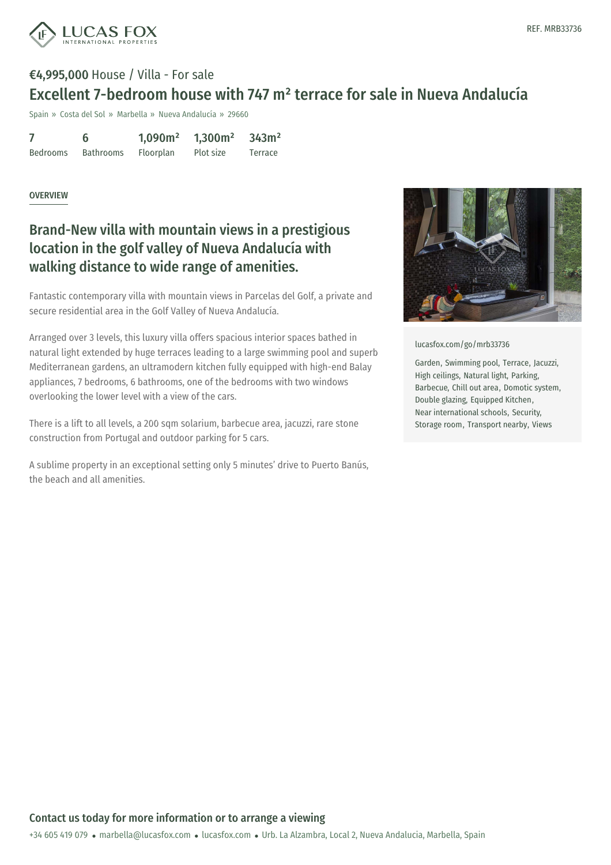

# €4,995,000 House / Villa - For sale Excellent 7-bedroom house with 747 m² terrace for sale in Nueva Andalucía

Spain » Costa del Sol » Marbella » Nueva Andalucía » 29660

7 Bedrooms 6 Bathrooms 1,090m² Floorplan 1,300m² Plot size 343m² Terrace

OVERVIEW

### Brand-New villa with mountain views in a prestigious location in the golf valley of Nueva Andalucía with walking distance to wide range of amenities.

Fantastic contemporary villa with mountain views in Parcelas del Golf, a private and secure residential area in the Golf Valley of Nueva Andalucía.

Arranged over 3 levels, this luxury villa offers spacious interior spaces bathed in natural light extended by huge terraces leading to a large swimming pool and superb Mediterranean gardens, an ultramodern kitchen fully equipped with high-end Balay appliances, 7 bedrooms, 6 bathrooms, one of the bedrooms with two windows overlooking the lower level with a view of the cars.

There is a lift to all levels, a 200 sqm solarium, barbecue area, jacuzzi, rare stone construction from Portugal and outdoor parking for 5 cars.

A sublime property in an exceptional setting only 5 minutes' drive to Puerto Banús, the beach and all amenities.



[lucasfox.com/go/mrb33736](https://www.lucasfox.com/go/mrb33736)

Garden, Swimming pool, Terrace, Jacuzzi, High ceilings, Natural light, Parking, Barbecue, Chill out area, Domotic system, Double glazing, Equipped Kitchen, Near international schools, Security, Storage room, Transport nearby, Views